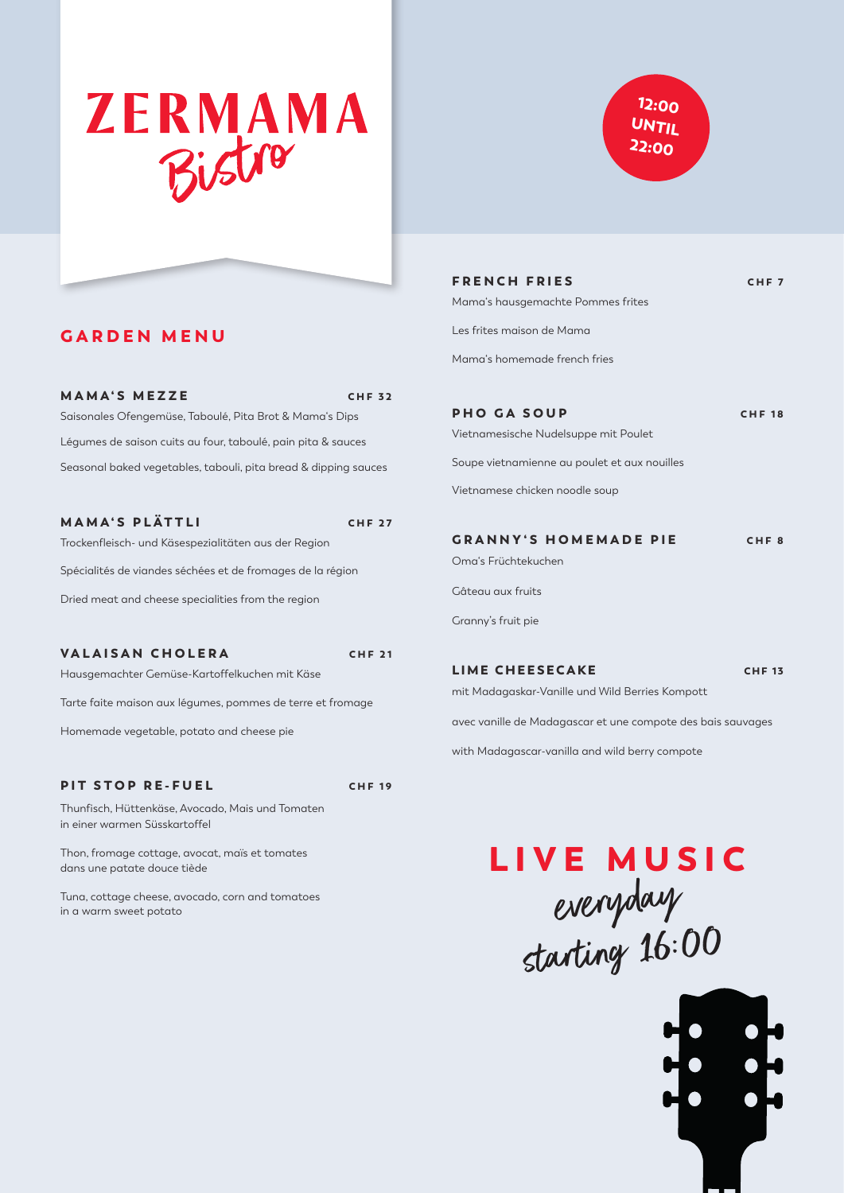# **ZERMAMA** Bistro



| <b>FRENCH FRIES</b>                  | CHE <sub>7</sub> |
|--------------------------------------|------------------|
| Mama's hausgemachte Pommes frites    |                  |
| Les frites maison de Mama            |                  |
| Mama's homemade french fries         |                  |
|                                      |                  |
| <b>PHO GA SOUP</b>                   | <b>CHF 18</b>    |
| Vietnamesische Nudelsuppe mit Poulet |                  |

Soupe vietnamienne au poulet et aux nouilles

Vietnamese chicken noodle soup

| <b>GRANNY'S HOMEMADE PIE</b> | CHF <sub>8</sub> |
|------------------------------|------------------|
|                              |                  |

Oma's Früchtekuchen

Gâteau aux fruits

Granny's fruit pie

#### LIME CHEESECAKE CHF 13

mit Madagaskar-Vanille und Wild Berries Kompott

avec vanille de Madagascar et une compote des bais sauvages

with Madagascar-vanilla and wild berry compote

# everyday starting 16:00 LIVE MUSIC



### GARDEN MENU

#### MAMA'S MEZZE CHF 32

Saisonales Ofengemüse, Taboulé, Pita Brot & Mama's Dips Légumes de saison cuits au four, taboulé, pain pita & sauces Seasonal baked vegetables, tabouli, pita bread & dipping sauces

#### MAMA'S PLÄTTLI CHE 27

Trockenfleisch- und Käsespezialitäten aus der Region

Spécialités de viandes séchées et de fromages de la région

Dried meat and cheese specialities from the region

VALAISAN CHOLERA CHF 21 Hausgemachter Gemüse-Kartoffelkuchen mit Käse

Tarte faite maison aux légumes, pommes de terre et fromage

Homemade vegetable, potato and cheese pie

#### PIT STOP RE-FUEL CHE 19

Thunfisch, Hüttenkäse, Avocado, Mais und Tomaten in einer warmen Süsskartoffel

Thon, fromage cottage, avocat, maïs et tomates dans une patate douce tiède

Tuna, cottage cheese, avocado, corn and tomatoes in a warm sweet potato